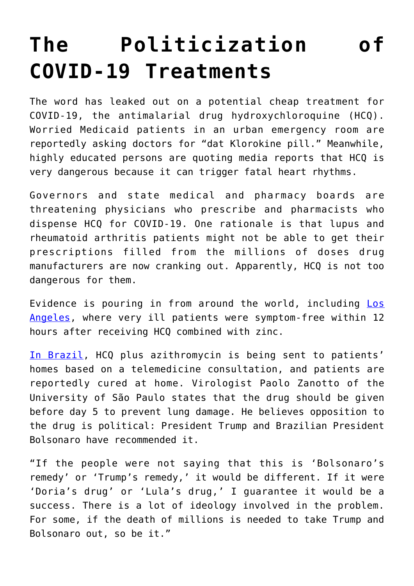## **[The Politicization of](https://intellectualtakeout.org/2020/04/the-politicization-of-covid-19-treatments/) [COVID-19 Treatments](https://intellectualtakeout.org/2020/04/the-politicization-of-covid-19-treatments/)**

The word has leaked out on a potential cheap treatment for COVID-19, the antimalarial drug hydroxychloroquine (HCQ). Worried Medicaid patients in an urban emergency room are reportedly asking doctors for "dat Klorokine pill." Meanwhile, highly educated persons are quoting media reports that HCQ is very dangerous because it can trigger fatal heart rhythms.

Governors and state medical and pharmacy boards are threatening physicians who prescribe and pharmacists who dispense HCQ for COVID-19. One rationale is that lupus and rheumatoid arthritis patients might not be able to get their prescriptions filled from the millions of doses drug manufacturers are now cranking out. Apparently, HCQ is not too dangerous for them.

Evidence is pouring in from around the world, including [Los](https://u7061146.ct.sendgrid.net/ls/click?upn=4tNED-2FM8iDZJQyQ53jATUYBrEdmnkqQdtvDuOUkc-2FuI0wYJwpRGRzTP4dHoP9Db-2BZ9mPNQzdOMWFswzBaXoYy1DwqwrRdrabjSAcVhYhxctB4QH11dNR3P8BGWsMsW77pBmG_jNzOwyVU6JeAc8UETGn95rGFgFsNRNpJX0d9oG4peJOdsyx3uuUkL4FmykJmAYHpS2yATwfOYCAj0uM1dilq5rl0-2BCJcGk-2FY83YAtbnGOtB5Ulv4Wm114nat-2BAHG1b2EOCb9cz-2FAsOCXnsM2nI-2FUPSnTSVoBygHrW2mqUiivwuZxSxeQUW-2Bsc7HCgUnChCtOKTfaQ7Cuth-2BLKPzwrHIkrlLEC-2FHLcTfX2oMVEOb9jhjk3xXmKcNiAoDEGfnqFDOh7sZqkUP8KAi0dakN7QR9H4YYfV3wA1PQCsU15sK4vklqhKncQRk6nXVMxxkhIQs5Q-2B779Sihm04V598-2BEWGzqLIH8RFXNYQlkJJYS1PBsSQ-3D) [Angeles](https://u7061146.ct.sendgrid.net/ls/click?upn=4tNED-2FM8iDZJQyQ53jATUYBrEdmnkqQdtvDuOUkc-2FuI0wYJwpRGRzTP4dHoP9Db-2BZ9mPNQzdOMWFswzBaXoYy1DwqwrRdrabjSAcVhYhxctB4QH11dNR3P8BGWsMsW77pBmG_jNzOwyVU6JeAc8UETGn95rGFgFsNRNpJX0d9oG4peJOdsyx3uuUkL4FmykJmAYHpS2yATwfOYCAj0uM1dilq5rl0-2BCJcGk-2FY83YAtbnGOtB5Ulv4Wm114nat-2BAHG1b2EOCb9cz-2FAsOCXnsM2nI-2FUPSnTSVoBygHrW2mqUiivwuZxSxeQUW-2Bsc7HCgUnChCtOKTfaQ7Cuth-2BLKPzwrHIkrlLEC-2FHLcTfX2oMVEOb9jhjk3xXmKcNiAoDEGfnqFDOh7sZqkUP8KAi0dakN7QR9H4YYfV3wA1PQCsU15sK4vklqhKncQRk6nXVMxxkhIQs5Q-2B779Sihm04V598-2BEWGzqLIH8RFXNYQlkJJYS1PBsSQ-3D), where very ill patients were symptom-free within 12 hours after receiving HCQ combined with zinc.

[In Brazil](https://u7061146.ct.sendgrid.net/ls/click?upn=4tNED-2FM8iDZJQyQ53jATUfyI6Mhw-2B9KaBoM8XPvi2Dbxbkrk5GgJ-2B0C5s5xcyUm7UpufjEj6KXQ46XV48d-2F7f3p7S1OUaDmydt5In3e6R8Q-3Dhlcm_jNzOwyVU6JeAc8UETGn95rGFgFsNRNpJX0d9oG4peJOdsyx3uuUkL4FmykJmAYHpS2yATwfOYCAj0uM1dilq5rl0-2BCJcGk-2FY83YAtbnGOtB5Ulv4Wm114nat-2BAHG1b2EOCb9cz-2FAsOCXnsM2nI-2FUPSnTSVoBygHrW2mqUiivwuZxSxeQUW-2Bsc7HCgUnChCtOKTfaQ7Cuth-2BLKPzwrHIkru-2BXjELiyfXvz9b-2FFRKQB7mbShkoR5phdSGMXgGf9XAuxnqVezfR37ddtCj0ZB77F8kLMBrURLuvEcWYRBpaLB9pbpvPxfTNjJ-2FhlzeTmAskVRv0SO7NqqfiyGaYqWxzHfRQJmX3mpPTo3-2BfvSr3klE-3D), HCQ plus azithromycin is being sent to patients' homes based on a telemedicine consultation, and patients are reportedly cured at home. Virologist Paolo Zanotto of the University of São Paulo states that the drug should be given before day 5 to prevent lung damage. He believes opposition to the drug is political: President Trump and Brazilian President Bolsonaro have recommended it.

"If the people were not saying that this is 'Bolsonaro's remedy' or 'Trump's remedy,' it would be different. If it were 'Doria's drug' or 'Lula's drug,' I guarantee it would be a success. There is a lot of ideology involved in the problem. For some, if the death of millions is needed to take Trump and Bolsonaro out, so be it."